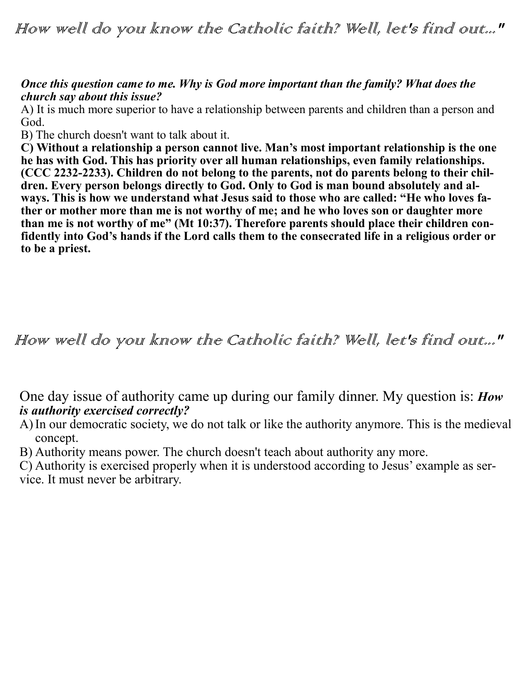How well do you know the Catholic faith? Well, let's find out..."

### *Once this question came to me. Why is God more important than the family? What does the church say about this issue?*

A) It is much more superior to have a relationship between parents and children than a person and God.

B) The church doesn't want to talk about it.

**C) Without a relationship a person cannot live. Man's most important relationship is the one he has with God. This has priority over all human relationships, even family relationships. (CCC 2232-2233). Children do not belong to the parents, not do parents belong to their children. Every person belongs directly to God. Only to God is man bound absolutely and always. This is how we understand what Jesus said to those who are called: "He who loves father or mother more than me is not worthy of me; and he who loves son or daughter more than me is not worthy of me" (Mt 10:37). Therefore parents should place their children confidently into God's hands if the Lord calls them to the consecrated life in a religious order or to be a priest.** 

## How well do you know the Catholic faith? Well, let's find out..."

One day issue of authority came up during our family dinner. My question is: *How is authority exercised correctly?*

A)In our democratic society, we do not talk or like the authority anymore. This is the medieval concept.

B) Authority means power. The church doesn't teach about authority any more.

C) Authority is exercised properly when it is understood according to Jesus' example as service. It must never be arbitrary.